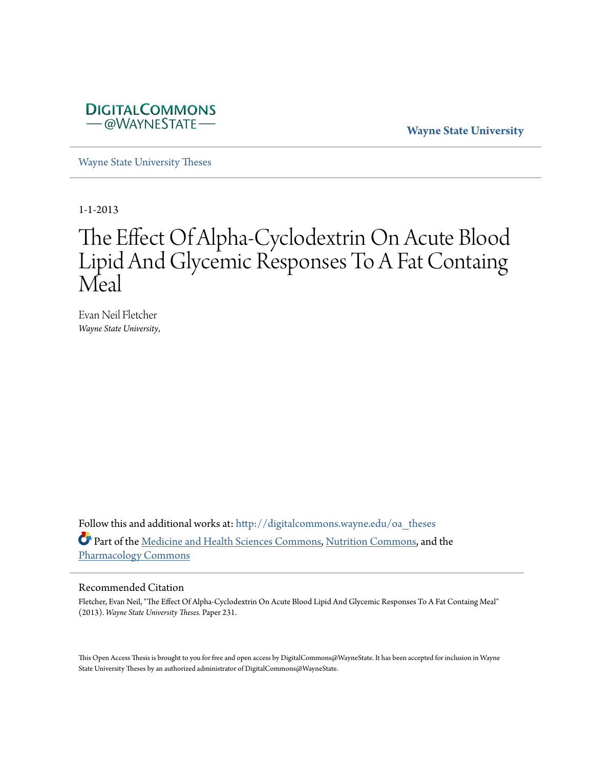

**Wayne State University**

[Wayne State University Theses](http://digitalcommons.wayne.edu/oa_theses?utm_source=digitalcommons.wayne.edu%2Foa_theses%2F231&utm_medium=PDF&utm_campaign=PDFCoverPages)

1-1-2013

# The Effect Of Alpha-Cyclodextrin On Acute Blood Lipid And Glycemic Responses To A Fat Containg Meal

Evan Neil Fletcher *Wayne State University*,

Follow this and additional works at: [http://digitalcommons.wayne.edu/oa\\_theses](http://digitalcommons.wayne.edu/oa_theses?utm_source=digitalcommons.wayne.edu%2Foa_theses%2F231&utm_medium=PDF&utm_campaign=PDFCoverPages) Part of the [Medicine and Health Sciences Commons](http://network.bepress.com/hgg/discipline/648?utm_source=digitalcommons.wayne.edu%2Foa_theses%2F231&utm_medium=PDF&utm_campaign=PDFCoverPages), [Nutrition Commons](http://network.bepress.com/hgg/discipline/95?utm_source=digitalcommons.wayne.edu%2Foa_theses%2F231&utm_medium=PDF&utm_campaign=PDFCoverPages), and the [Pharmacology Commons](http://network.bepress.com/hgg/discipline/66?utm_source=digitalcommons.wayne.edu%2Foa_theses%2F231&utm_medium=PDF&utm_campaign=PDFCoverPages)

#### Recommended Citation

Fletcher, Evan Neil, "The Effect Of Alpha-Cyclodextrin On Acute Blood Lipid And Glycemic Responses To A Fat Containg Meal" (2013). *Wayne State University Theses.* Paper 231.

This Open Access Thesis is brought to you for free and open access by DigitalCommons@WayneState. It has been accepted for inclusion in Wayne State University Theses by an authorized administrator of DigitalCommons@WayneState.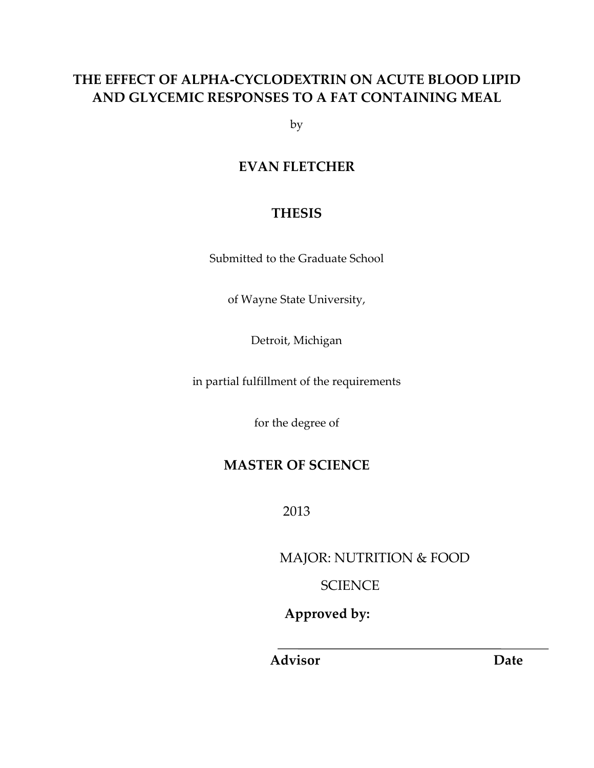# **THE EFFECT OF ALPHA-CYCLODEXTRIN ON ACUTE BLOOD LIPID AND GLYCEMIC RESPONSES TO A FAT CONTAINING MEAL**

by

### **EVAN FLETCHER**

### **THESIS**

Submitted to the Graduate School

of Wayne State University,

Detroit, Michigan

in partial fulfillment of the requirements

for the degree of

# **MASTER OF SCIENCE**

2013

MAJOR: NUTRITION & FOOD

**SCIENCE** 

 **Approved by:** 

 **Advisor Date**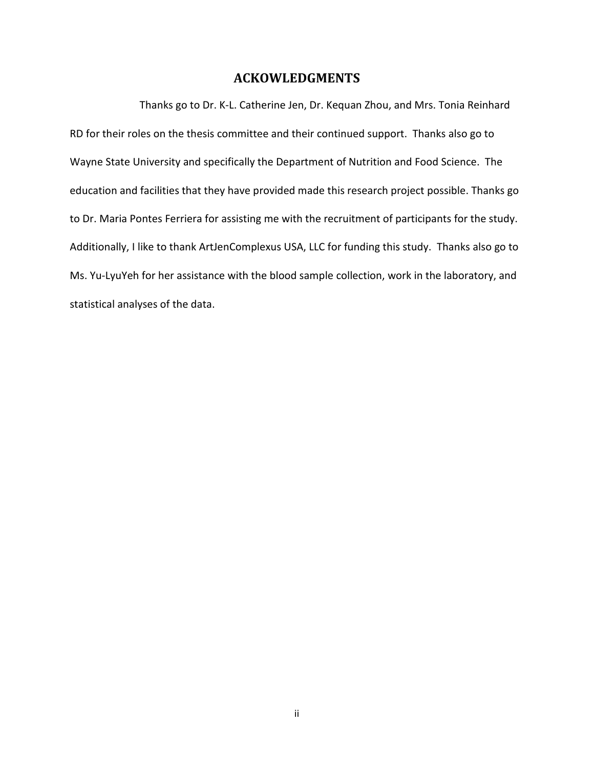#### **ACKOWLEDGMENTS**

Thanks go to Dr. K-L. Catherine Jen, Dr. Kequan Zhou, and Mrs. Tonia Reinhard RD for their roles on the thesis committee and their continued support. Thanks also go to Wayne State University and specifically the Department of Nutrition and Food Science. The education and facilities that they have provided made this research project possible. Thanks go to Dr. Maria Pontes Ferriera for assisting me with the recruitment of participants for the study. Additionally, I like to thank ArtJenComplexus USA, LLC for funding this study. Thanks also go to Ms. Yu-LyuYeh for her assistance with the blood sample collection, work in the laboratory, and statistical analyses of the data.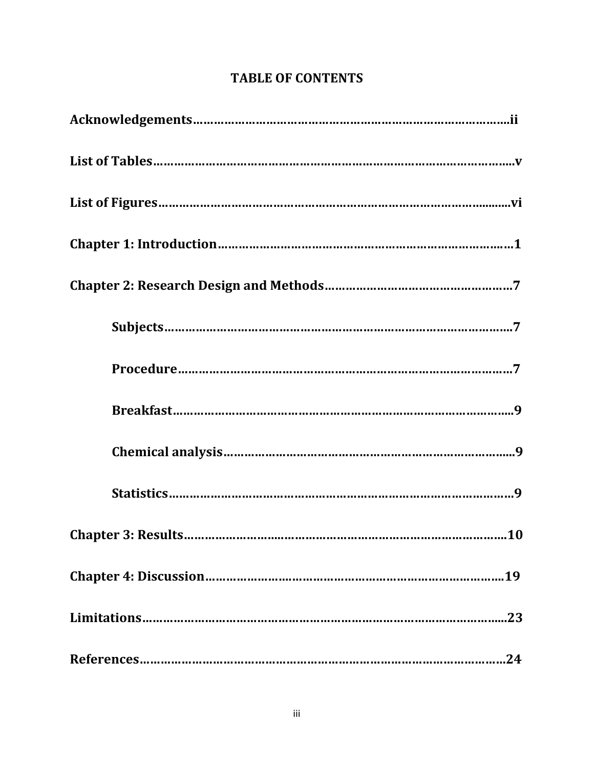# **TABLE OF CONTENTS**

**Limitations…………………………………………………………………………………………...23** 

**References……………………………………………………………………………………………24**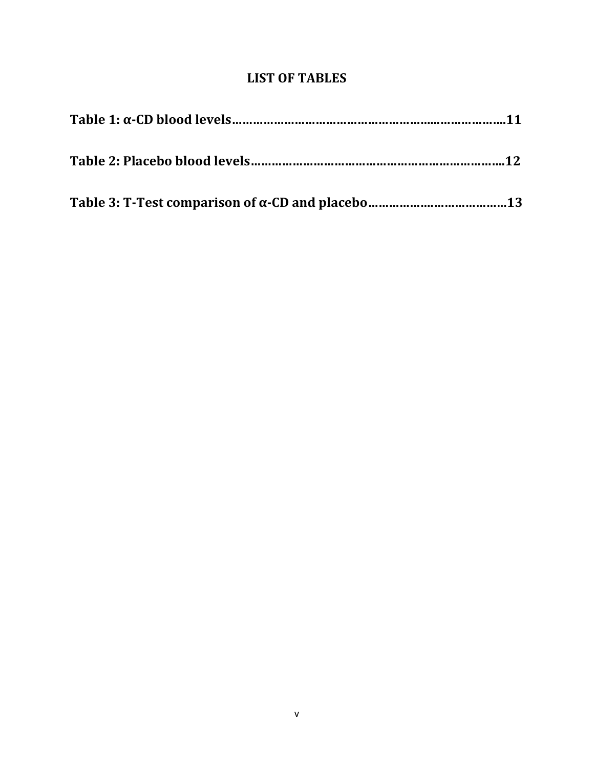### **LIST OF TABLES**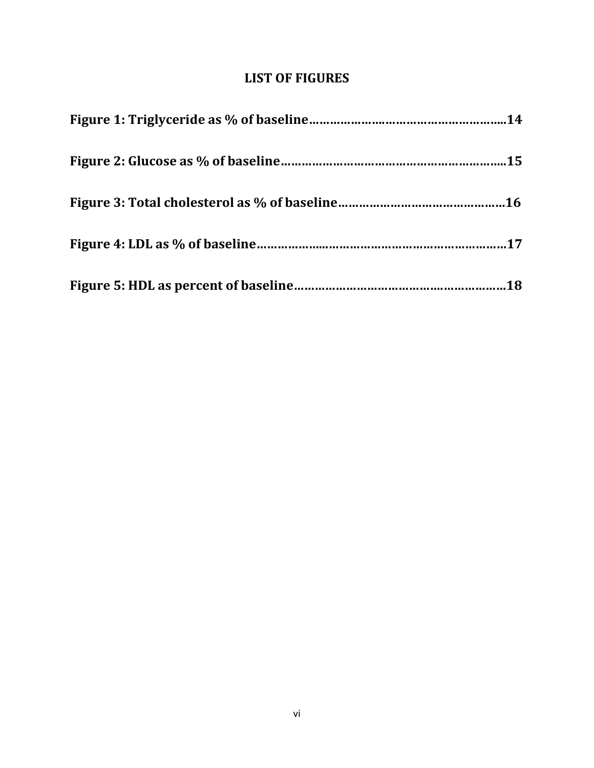# **LIST OF FIGURES**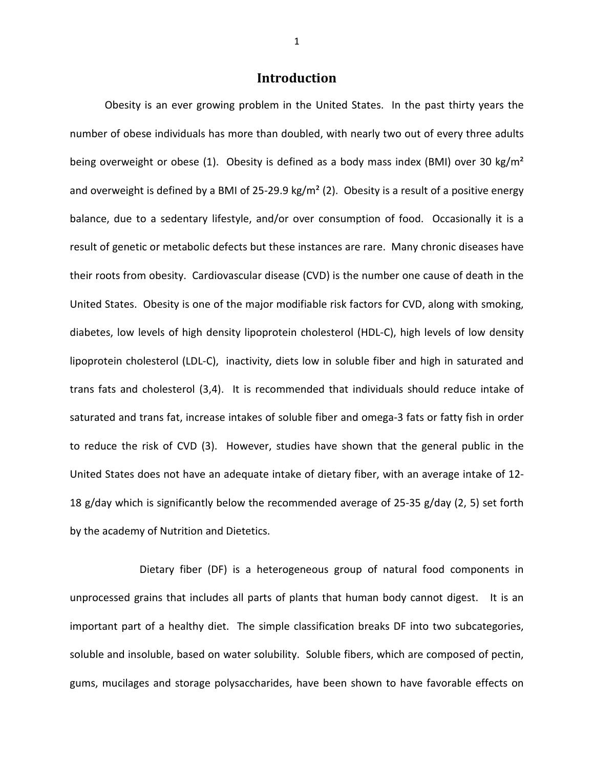#### **Introduction**

Obesity is an ever growing problem in the United States. In the past thirty years the number of obese individuals has more than doubled, with nearly two out of every three adults being overweight or obese (1). Obesity is defined as a body mass index (BMI) over 30 kg/m<sup>2</sup> and overweight is defined by a BMI of 25-29.9 kg/m<sup>2</sup> (2). Obesity is a result of a positive energy balance, due to a sedentary lifestyle, and/or over consumption of food. Occasionally it is a result of genetic or metabolic defects but these instances are rare. Many chronic diseases have their roots from obesity. Cardiovascular disease (CVD) is the number one cause of death in the United States. Obesity is one of the major modifiable risk factors for CVD, along with smoking, diabetes, low levels of high density lipoprotein cholesterol (HDL-C), high levels of low density lipoprotein cholesterol (LDL-C), inactivity, diets low in soluble fiber and high in saturated and trans fats and cholesterol (3,4). It is recommended that individuals should reduce intake of saturated and trans fat, increase intakes of soluble fiber and omega-3 fats or fatty fish in order to reduce the risk of CVD (3). However, studies have shown that the general public in the United States does not have an adequate intake of dietary fiber, with an average intake of 12- 18 g/day which is significantly below the recommended average of 25-35 g/day (2, 5) set forth by the academy of Nutrition and Dietetics.

 Dietary fiber (DF) is a heterogeneous group of natural food components in unprocessed grains that includes all parts of plants that human body cannot digest. It is an important part of a healthy diet. The simple classification breaks DF into two subcategories, soluble and insoluble, based on water solubility. Soluble fibers, which are composed of pectin, gums, mucilages and storage polysaccharides, have been shown to have favorable effects on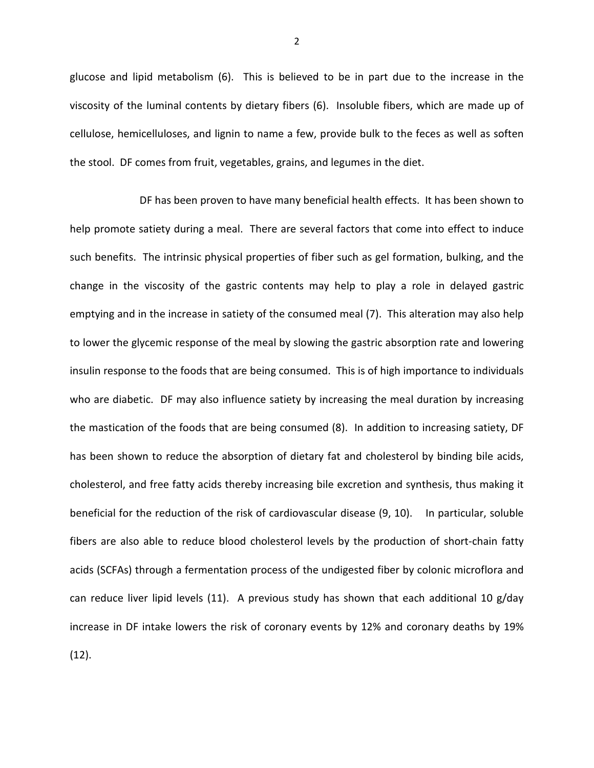glucose and lipid metabolism (6). This is believed to be in part due to the increase in the viscosity of the luminal contents by dietary fibers (6). Insoluble fibers, which are made up of cellulose, hemicelluloses, and lignin to name a few, provide bulk to the feces as well as soften the stool. DF comes from fruit, vegetables, grains, and legumes in the diet.

 DF has been proven to have many beneficial health effects. It has been shown to help promote satiety during a meal. There are several factors that come into effect to induce such benefits. The intrinsic physical properties of fiber such as gel formation, bulking, and the change in the viscosity of the gastric contents may help to play a role in delayed gastric emptying and in the increase in satiety of the consumed meal (7). This alteration may also help to lower the glycemic response of the meal by slowing the gastric absorption rate and lowering insulin response to the foods that are being consumed. This is of high importance to individuals who are diabetic. DF may also influence satiety by increasing the meal duration by increasing the mastication of the foods that are being consumed (8). In addition to increasing satiety, DF has been shown to reduce the absorption of dietary fat and cholesterol by binding bile acids, cholesterol, and free fatty acids thereby increasing bile excretion and synthesis, thus making it beneficial for the reduction of the risk of cardiovascular disease (9, 10). In particular, soluble fibers are also able to reduce blood cholesterol levels by the production of short-chain fatty acids (SCFAs) through a fermentation process of the undigested fiber by colonic microflora and can reduce liver lipid levels (11). A previous study has shown that each additional 10 g/day increase in DF intake lowers the risk of coronary events by 12% and coronary deaths by 19% (12).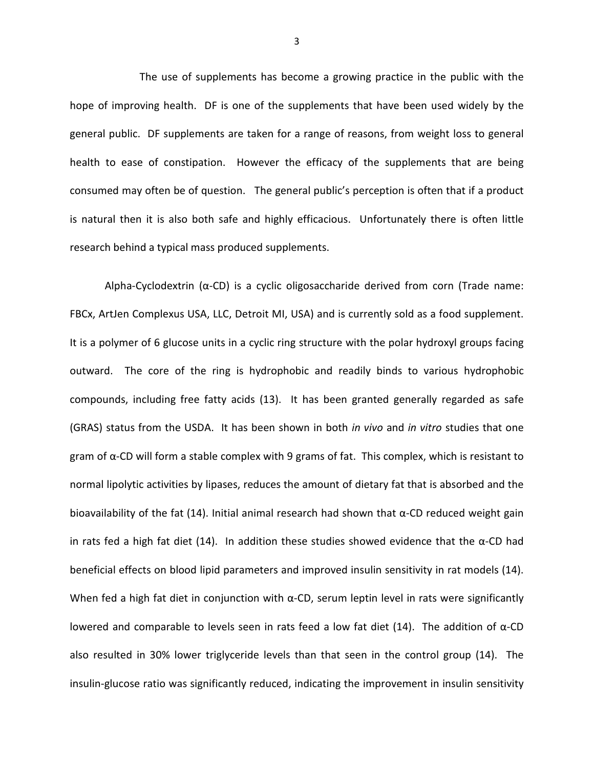The use of supplements has become a growing practice in the public with the hope of improving health. DF is one of the supplements that have been used widely by the general public. DF supplements are taken for a range of reasons, from weight loss to general health to ease of constipation. However the efficacy of the supplements that are being consumed may often be of question. The general public's perception is often that if a product is natural then it is also both safe and highly efficacious. Unfortunately there is often little research behind a typical mass produced supplements.

Alpha-Cyclodextrin (α-CD) is a cyclic oligosaccharide derived from corn (Trade name: FBCx, ArtJen Complexus USA, LLC, Detroit MI, USA) and is currently sold as a food supplement. It is a polymer of 6 glucose units in a cyclic ring structure with the polar hydroxyl groups facing outward. The core of the ring is hydrophobic and readily binds to various hydrophobic compounds, including free fatty acids (13). It has been granted generally regarded as safe (GRAS) status from the USDA. It has been shown in both *in vivo* and *in vitro* studies that one gram of  $\alpha$ -CD will form a stable complex with 9 grams of fat. This complex, which is resistant to normal lipolytic activities by lipases, reduces the amount of dietary fat that is absorbed and the bioavailability of the fat (14). Initial animal research had shown that  $\alpha$ -CD reduced weight gain in rats fed a high fat diet (14). In addition these studies showed evidence that the  $\alpha$ -CD had beneficial effects on blood lipid parameters and improved insulin sensitivity in rat models (14). When fed a high fat diet in conjunction with  $\alpha$ -CD, serum leptin level in rats were significantly lowered and comparable to levels seen in rats feed a low fat diet (14). The addition of  $α$ -CD also resulted in 30% lower triglyceride levels than that seen in the control group (14). The insulin-glucose ratio was significantly reduced, indicating the improvement in insulin sensitivity

3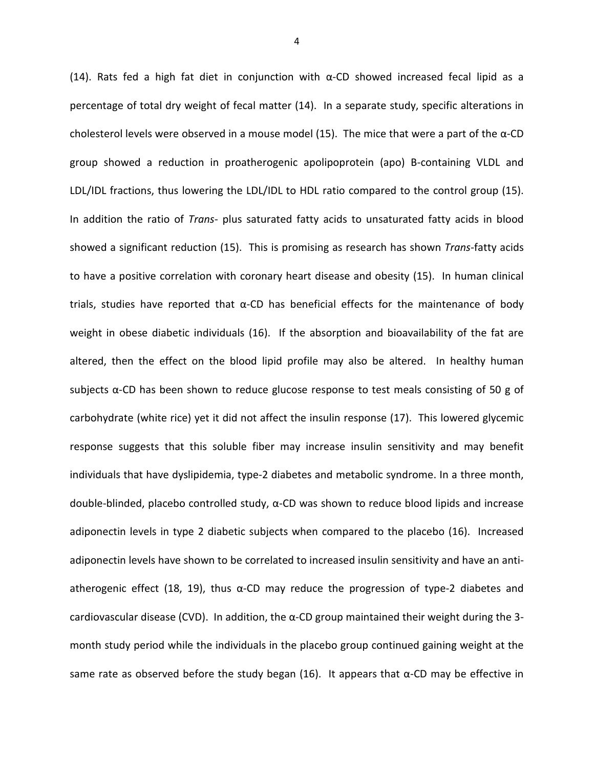(14). Rats fed a high fat diet in conjunction with  $\alpha$ -CD showed increased fecal lipid as a percentage of total dry weight of fecal matter (14). In a separate study, specific alterations in cholesterol levels were observed in a mouse model (15). The mice that were a part of the  $\alpha$ -CD group showed a reduction in proatherogenic apolipoprotein (apo) B-containing VLDL and LDL/IDL fractions, thus lowering the LDL/IDL to HDL ratio compared to the control group (15). In addition the ratio of *Trans-* plus saturated fatty acids to unsaturated fatty acids in blood showed a significant reduction (15). This is promising as research has shown *Trans-*fatty acids to have a positive correlation with coronary heart disease and obesity (15). In human clinical trials, studies have reported that  $α$ -CD has beneficial effects for the maintenance of body weight in obese diabetic individuals (16). If the absorption and bioavailability of the fat are altered, then the effect on the blood lipid profile may also be altered. In healthy human subjects  $\alpha$ -CD has been shown to reduce glucose response to test meals consisting of 50 g of carbohydrate (white rice) yet it did not affect the insulin response (17). This lowered glycemic response suggests that this soluble fiber may increase insulin sensitivity and may benefit individuals that have dyslipidemia, type-2 diabetes and metabolic syndrome. In a three month, double-blinded, placebo controlled study, α-CD was shown to reduce blood lipids and increase adiponectin levels in type 2 diabetic subjects when compared to the placebo (16). Increased adiponectin levels have shown to be correlated to increased insulin sensitivity and have an antiatherogenic effect (18, 19), thus  $\alpha$ -CD may reduce the progression of type-2 diabetes and cardiovascular disease (CVD). In addition, the  $\alpha$ -CD group maintained their weight during the 3month study period while the individuals in the placebo group continued gaining weight at the same rate as observed before the study began (16). It appears that  $\alpha$ -CD may be effective in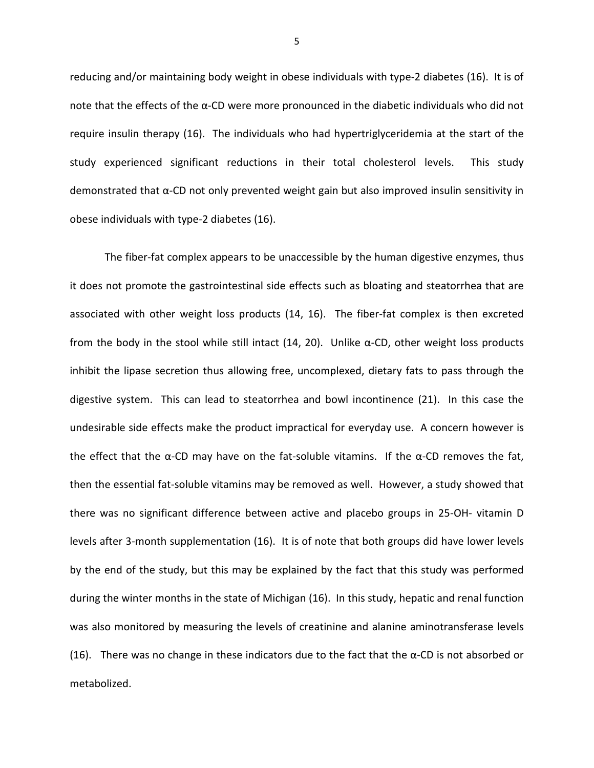reducing and/or maintaining body weight in obese individuals with type-2 diabetes (16). It is of note that the effects of the α-CD were more pronounced in the diabetic individuals who did not require insulin therapy (16). The individuals who had hypertriglyceridemia at the start of the study experienced significant reductions in their total cholesterol levels. This study demonstrated that α-CD not only prevented weight gain but also improved insulin sensitivity in obese individuals with type-2 diabetes (16).

The fiber-fat complex appears to be unaccessible by the human digestive enzymes, thus it does not promote the gastrointestinal side effects such as bloating and steatorrhea that are associated with other weight loss products (14, 16). The fiber-fat complex is then excreted from the body in the stool while still intact (14, 20). Unlike α-CD, other weight loss products inhibit the lipase secretion thus allowing free, uncomplexed, dietary fats to pass through the digestive system. This can lead to steatorrhea and bowl incontinence (21). In this case the undesirable side effects make the product impractical for everyday use. A concern however is the effect that the  $\alpha$ -CD may have on the fat-soluble vitamins. If the  $\alpha$ -CD removes the fat, then the essential fat-soluble vitamins may be removed as well. However, a study showed that there was no significant difference between active and placebo groups in 25-OH- vitamin D levels after 3-month supplementation (16). It is of note that both groups did have lower levels by the end of the study, but this may be explained by the fact that this study was performed during the winter months in the state of Michigan (16). In this study, hepatic and renal function was also monitored by measuring the levels of creatinine and alanine aminotransferase levels (16). There was no change in these indicators due to the fact that the  $\alpha$ -CD is not absorbed or metabolized.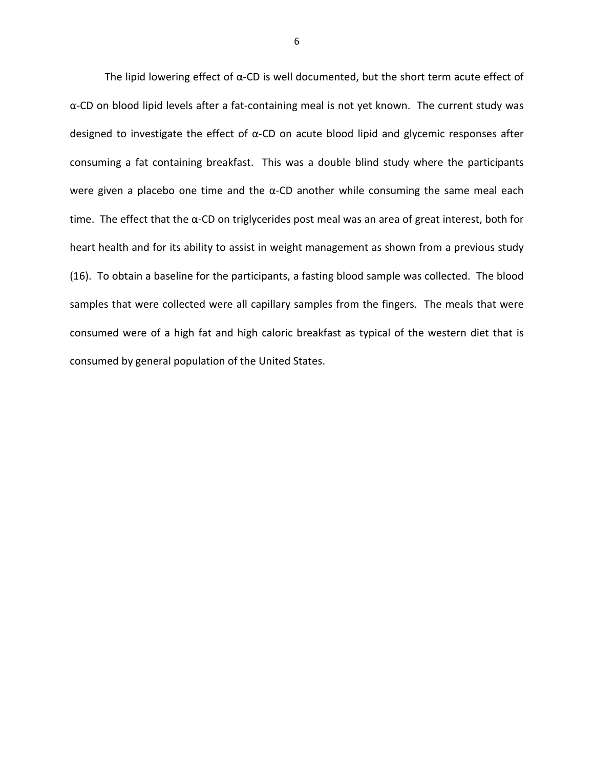The lipid lowering effect of  $\alpha$ -CD is well documented, but the short term acute effect of α-CD on blood lipid levels after a fat-containing meal is not yet known. The current study was designed to investigate the effect of  $\alpha$ -CD on acute blood lipid and glycemic responses after consuming a fat containing breakfast. This was a double blind study where the participants were given a placebo one time and the  $\alpha$ -CD another while consuming the same meal each time. The effect that the α-CD on triglycerides post meal was an area of great interest, both for heart health and for its ability to assist in weight management as shown from a previous study (16). To obtain a baseline for the participants, a fasting blood sample was collected. The blood samples that were collected were all capillary samples from the fingers. The meals that were consumed were of a high fat and high caloric breakfast as typical of the western diet that is consumed by general population of the United States.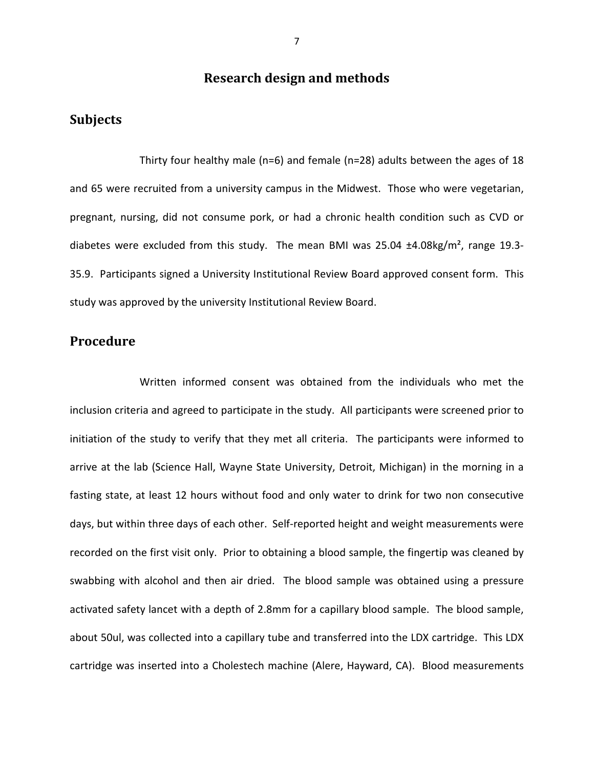### **Research design and methods**

### **Subjects**

Thirty four healthy male (n=6) and female (n=28) adults between the ages of 18 and 65 were recruited from a university campus in the Midwest. Those who were vegetarian, pregnant, nursing, did not consume pork, or had a chronic health condition such as CVD or diabetes were excluded from this study. The mean BMI was 25.04 ±4.08kg/m², range 19.3- 35.9. Participants signed a University Institutional Review Board approved consent form. This study was approved by the university Institutional Review Board.

#### **Procedure**

Written informed consent was obtained from the individuals who met the inclusion criteria and agreed to participate in the study. All participants were screened prior to initiation of the study to verify that they met all criteria. The participants were informed to arrive at the lab (Science Hall, Wayne State University, Detroit, Michigan) in the morning in a fasting state, at least 12 hours without food and only water to drink for two non consecutive days, but within three days of each other. Self-reported height and weight measurements were recorded on the first visit only. Prior to obtaining a blood sample, the fingertip was cleaned by swabbing with alcohol and then air dried. The blood sample was obtained using a pressure activated safety lancet with a depth of 2.8mm for a capillary blood sample. The blood sample, about 50ul, was collected into a capillary tube and transferred into the LDX cartridge. This LDX cartridge was inserted into a Cholestech machine (Alere, Hayward, CA). Blood measurements

7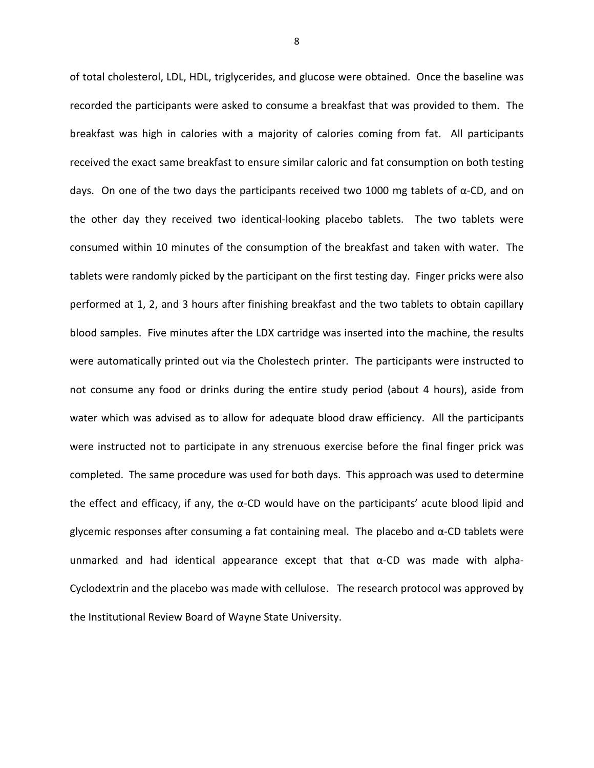of total cholesterol, LDL, HDL, triglycerides, and glucose were obtained. Once the baseline was recorded the participants were asked to consume a breakfast that was provided to them. The breakfast was high in calories with a majority of calories coming from fat. All participants received the exact same breakfast to ensure similar caloric and fat consumption on both testing days. On one of the two days the participants received two 1000 mg tablets of  $\alpha$ -CD, and on the other day they received two identical-looking placebo tablets. The two tablets were consumed within 10 minutes of the consumption of the breakfast and taken with water. The tablets were randomly picked by the participant on the first testing day. Finger pricks were also performed at 1, 2, and 3 hours after finishing breakfast and the two tablets to obtain capillary blood samples. Five minutes after the LDX cartridge was inserted into the machine, the results were automatically printed out via the Cholestech printer. The participants were instructed to not consume any food or drinks during the entire study period (about 4 hours), aside from water which was advised as to allow for adequate blood draw efficiency. All the participants were instructed not to participate in any strenuous exercise before the final finger prick was completed. The same procedure was used for both days. This approach was used to determine the effect and efficacy, if any, the  $\alpha$ -CD would have on the participants' acute blood lipid and glycemic responses after consuming a fat containing meal. The placebo and  $\alpha$ -CD tablets were unmarked and had identical appearance except that that  $\alpha$ -CD was made with alpha-Cyclodextrin and the placebo was made with cellulose. The research protocol was approved by the Institutional Review Board of Wayne State University.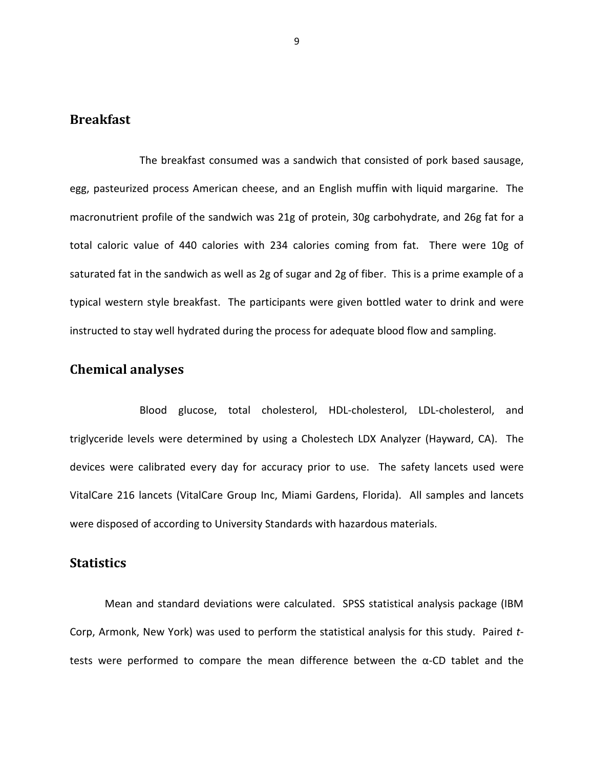#### **Breakfast**

 The breakfast consumed was a sandwich that consisted of pork based sausage, egg, pasteurized process American cheese, and an English muffin with liquid margarine. The macronutrient profile of the sandwich was 21g of protein, 30g carbohydrate, and 26g fat for a total caloric value of 440 calories with 234 calories coming from fat. There were 10g of saturated fat in the sandwich as well as 2g of sugar and 2g of fiber. This is a prime example of a typical western style breakfast. The participants were given bottled water to drink and were instructed to stay well hydrated during the process for adequate blood flow and sampling.

### **Chemical analyses**

 Blood glucose, total cholesterol, HDL-cholesterol, LDL-cholesterol, and triglyceride levels were determined by using a Cholestech LDX Analyzer (Hayward, CA). The devices were calibrated every day for accuracy prior to use. The safety lancets used were VitalCare 216 lancets (VitalCare Group Inc, Miami Gardens, Florida). All samples and lancets were disposed of according to University Standards with hazardous materials.

#### **Statistics**

Mean and standard deviations were calculated. SPSS statistical analysis package (IBM Corp, Armonk, New York) was used to perform the statistical analysis for this study. Paired *t*tests were performed to compare the mean difference between the α-CD tablet and the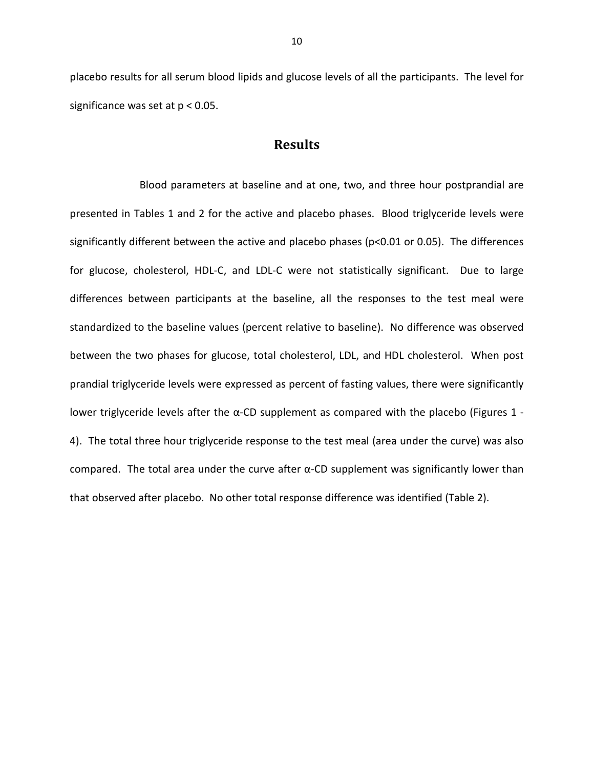placebo results for all serum blood lipids and glucose levels of all the participants. The level for significance was set at p < 0.05.

#### **Results**

 Blood parameters at baseline and at one, two, and three hour postprandial are presented in Tables 1 and 2 for the active and placebo phases. Blood triglyceride levels were significantly different between the active and placebo phases (p<0.01 or 0.05). The differences for glucose, cholesterol, HDL-C, and LDL-C were not statistically significant. Due to large differences between participants at the baseline, all the responses to the test meal were standardized to the baseline values (percent relative to baseline). No difference was observed between the two phases for glucose, total cholesterol, LDL, and HDL cholesterol. When post prandial triglyceride levels were expressed as percent of fasting values, there were significantly lower triglyceride levels after the α-CD supplement as compared with the placebo (Figures 1 -4). The total three hour triglyceride response to the test meal (area under the curve) was also compared. The total area under the curve after α-CD supplement was significantly lower than that observed after placebo. No other total response difference was identified (Table 2).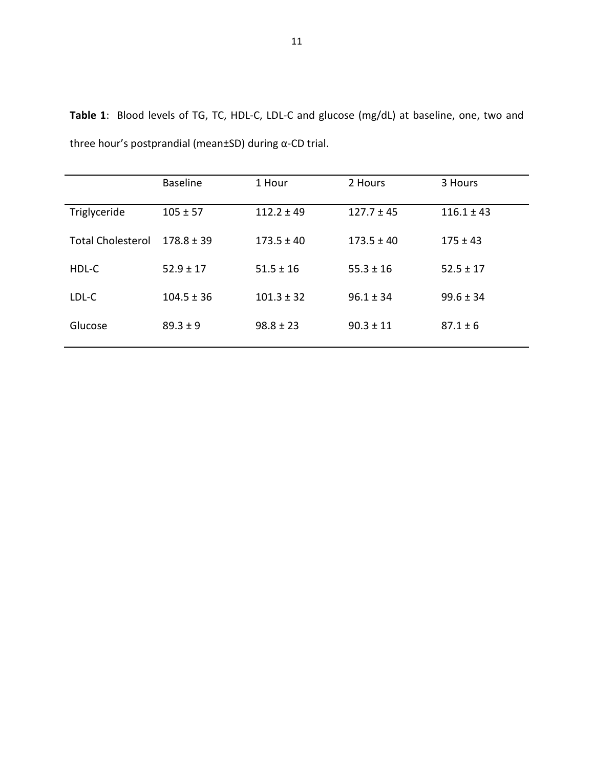|                          | <b>Baseline</b> | 1 Hour         | 2 Hours        | 3 Hours        |
|--------------------------|-----------------|----------------|----------------|----------------|
| Triglyceride             | $105 \pm 57$    | $112.2 \pm 49$ | $127.7 \pm 45$ | $116.1 \pm 43$ |
| <b>Total Cholesterol</b> | $178.8 + 39$    | $173.5 \pm 40$ | $173.5 \pm 40$ | $175 \pm 43$   |
| HDL-C                    | $52.9 \pm 17$   | $51.5 \pm 16$  | $55.3 \pm 16$  | $52.5 \pm 17$  |
| LDL-C                    | $104.5 \pm 36$  | $101.3 \pm 32$ | $96.1 \pm 34$  | $99.6 \pm 34$  |
| Glucose                  | $89.3 \pm 9$    | $98.8 \pm 23$  | $90.3 \pm 11$  | $87.1 \pm 6$   |

**Table 1**: Blood levels of TG, TC, HDL-C, LDL-C and glucose (mg/dL) at baseline, one, two and three hour's postprandial (mean±SD) during α-CD trial.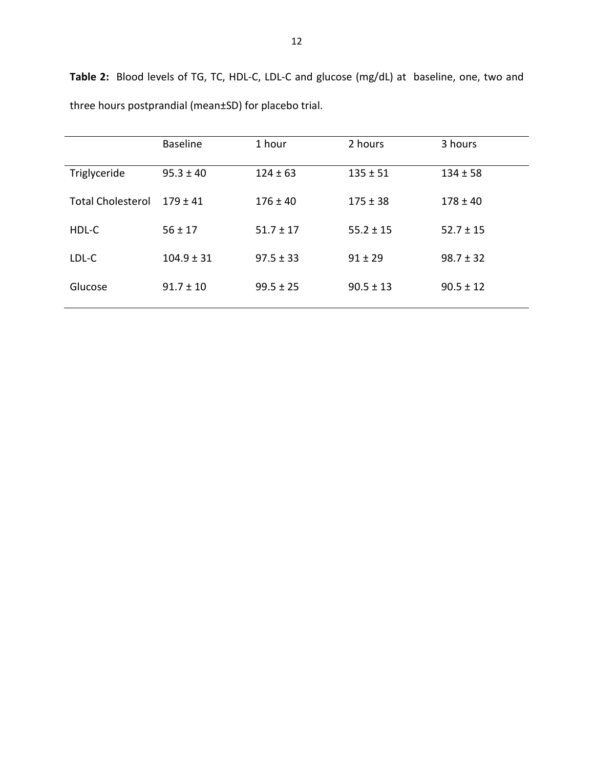|                          | <b>Baseline</b> | 1 hour        | 2 hours       | 3 hours       |
|--------------------------|-----------------|---------------|---------------|---------------|
| Triglyceride             | $95.3 \pm 40$   | $124 \pm 63$  | $135 \pm 51$  | $134 \pm 58$  |
| <b>Total Cholesterol</b> | $179 + 41$      | $176 \pm 40$  | $175 \pm 38$  | $178 \pm 40$  |
| HDL-C                    | $56 \pm 17$     | $51.7 \pm 17$ | $55.2 \pm 15$ | $52.7 \pm 15$ |
| LDL-C                    | $104.9 \pm 31$  | $97.5 \pm 33$ | $91 \pm 29$   | $98.7 \pm 32$ |
| Glucose                  | $91.7 \pm 10$   | $99.5 \pm 25$ | $90.5 \pm 13$ | $90.5 \pm 12$ |

**Table 2:** Blood levels of TG, TC, HDL-C, LDL-C and glucose (mg/dL) at baseline, one, two and three hours postprandial (mean±SD) for placebo trial.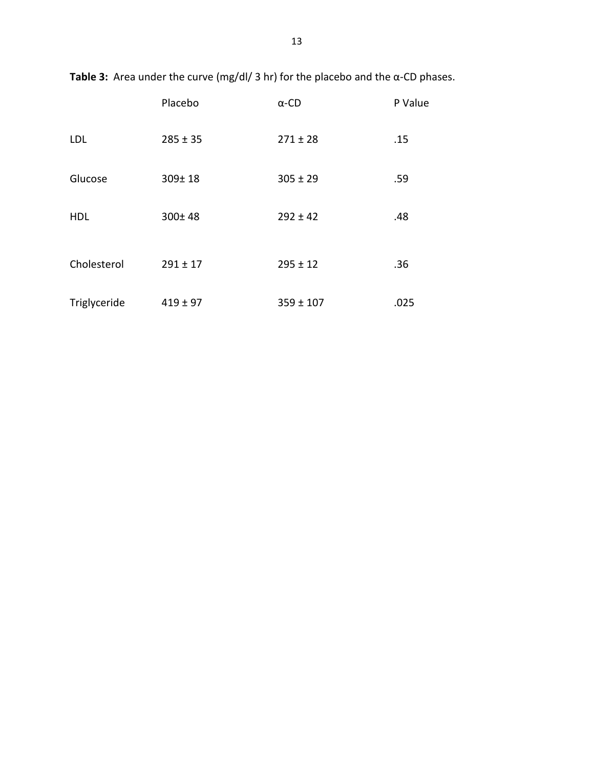|              | Placebo      | $\alpha$ -CD  | P Value |
|--------------|--------------|---------------|---------|
| LDL          | $285 \pm 35$ | $271 \pm 28$  | .15     |
| Glucose      | $309 \pm 18$ | $305 \pm 29$  | .59     |
| <b>HDL</b>   | $300 \pm 48$ | $292 \pm 42$  | .48     |
| Cholesterol  | $291 \pm 17$ | $295 \pm 12$  | .36     |
| Triglyceride | $419 \pm 97$ | $359 \pm 107$ | .025    |

**Table 3:** Area under the curve (mg/dl/ 3 hr) for the placebo and the α-CD phases.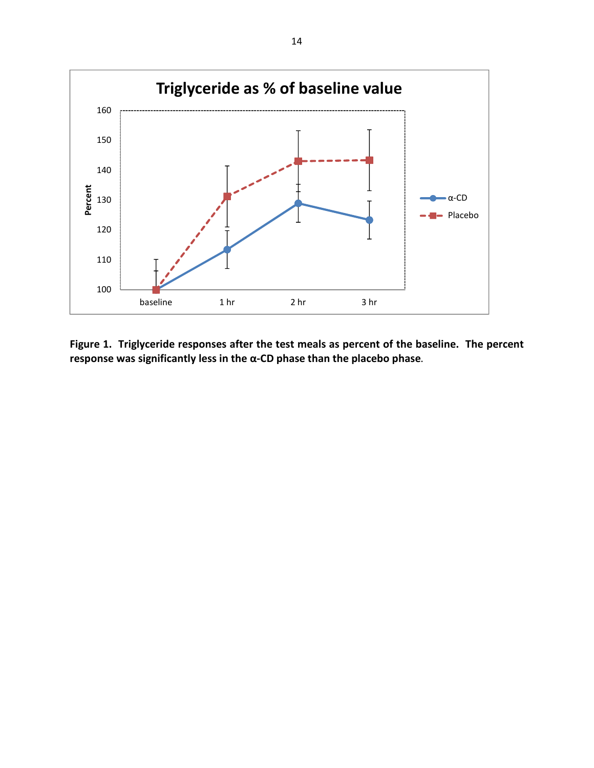

**Figure 1. Triglyceride responses after the test meals as percent of the baseline. The percent response was significantly less in the α-CD phase than the placebo phase.**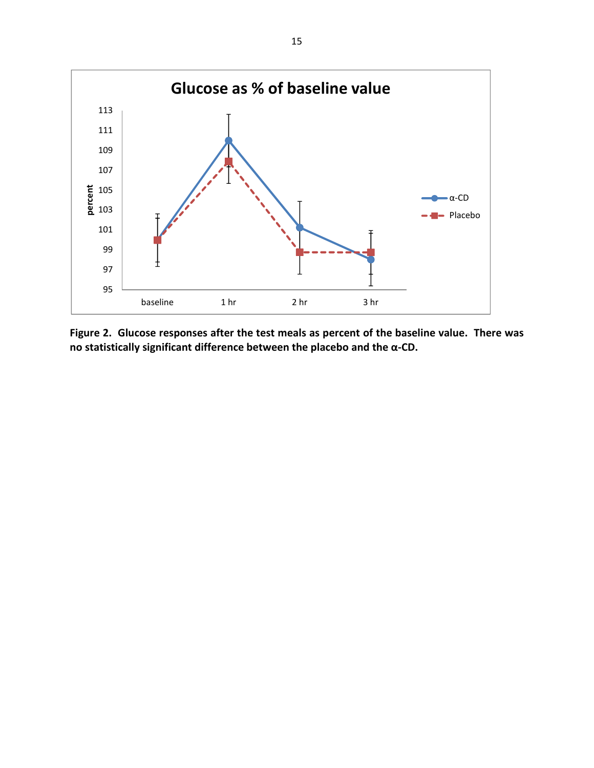

**Figure 2. Glucose responses after the test meals as percent of the baseline value. There was no statistically significant difference between the placebo and the α-CD.**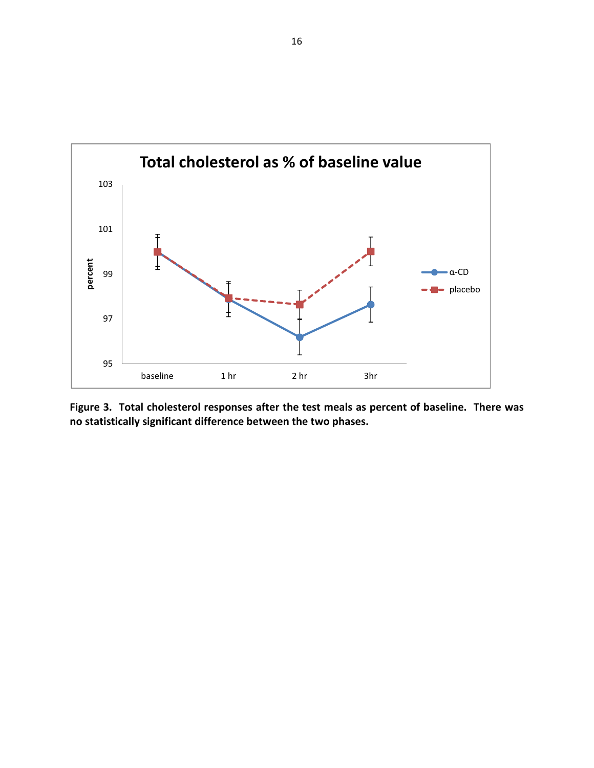

**Figure 3. Total cholesterol responses after the test meals as percent of baseline. There was no statistically significant difference between the two phases.**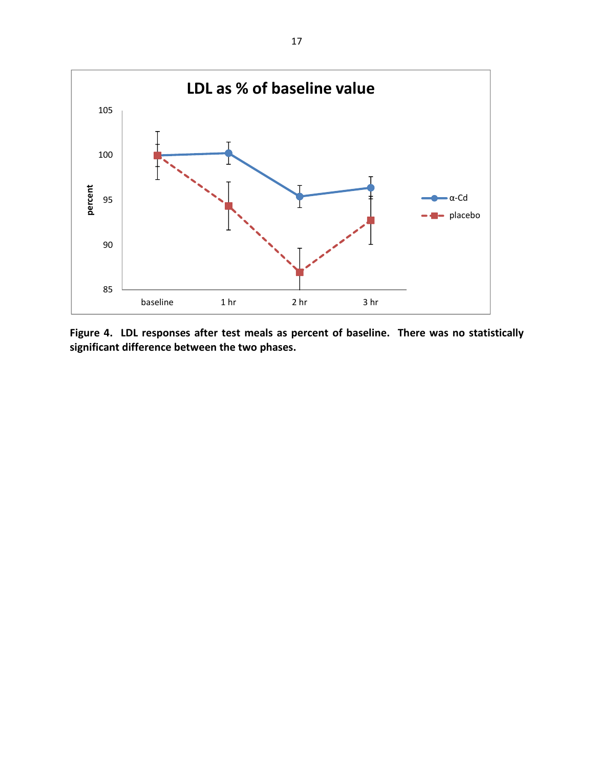

**Figure 4. LDL responses after test meals as percent of baseline. There was no statistically significant difference between the two phases.**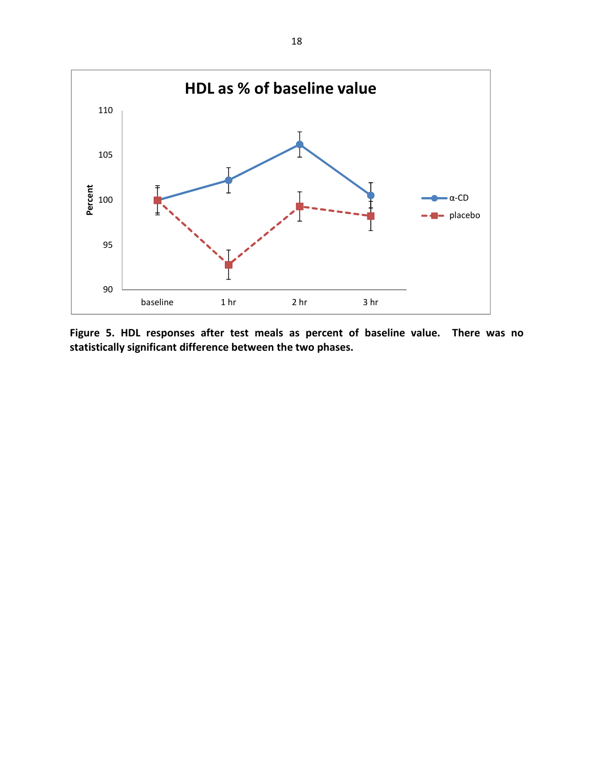

**Figure 5. HDL responses after test meals as percent of baseline value. There was no statistically significant difference between the two phases.**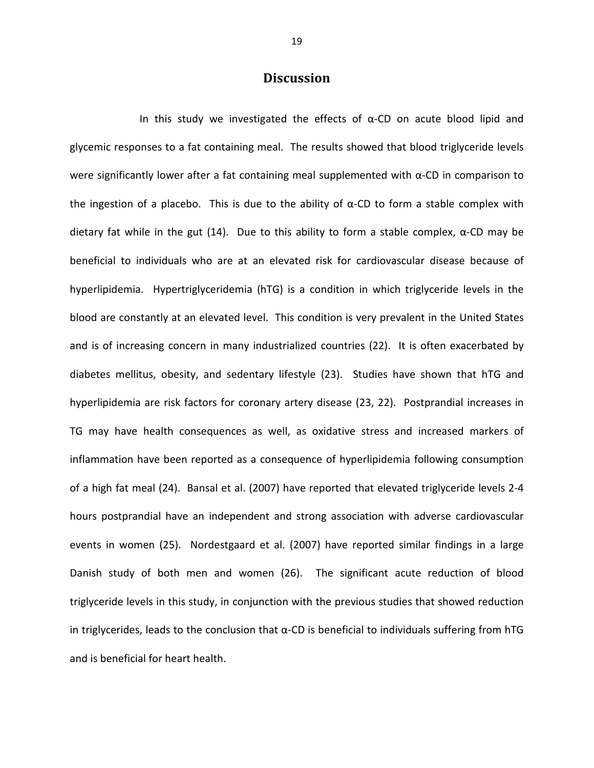#### **Discussion**

In this study we investigated the effects of  $\alpha$ -CD on acute blood lipid and glycemic responses to a fat containing meal. The results showed that blood triglyceride levels were significantly lower after a fat containing meal supplemented with α-CD in comparison to the ingestion of a placebo. This is due to the ability of  $\alpha$ -CD to form a stable complex with dietary fat while in the gut (14). Due to this ability to form a stable complex,  $\alpha$ -CD may be beneficial to individuals who are at an elevated risk for cardiovascular disease because of hyperlipidemia. Hypertriglyceridemia (hTG) is a condition in which triglyceride levels in the blood are constantly at an elevated level. This condition is very prevalent in the United States and is of increasing concern in many industrialized countries (22). It is often exacerbated by diabetes mellitus, obesity, and sedentary lifestyle (23). Studies have shown that hTG and hyperlipidemia are risk factors for coronary artery disease (23, 22). Postprandial increases in TG may have health consequences as well, as oxidative stress and increased markers of inflammation have been reported as a consequence of hyperlipidemia following consumption of a high fat meal (24). Bansal et al. (2007) have reported that elevated triglyceride levels 2-4 hours postprandial have an independent and strong association with adverse cardiovascular events in women (25). Nordestgaard et al. (2007) have reported similar findings in a large Danish study of both men and women (26). The significant acute reduction of blood triglyceride levels in this study, in conjunction with the previous studies that showed reduction in triglycerides, leads to the conclusion that  $\alpha$ -CD is beneficial to individuals suffering from hTG and is beneficial for heart health.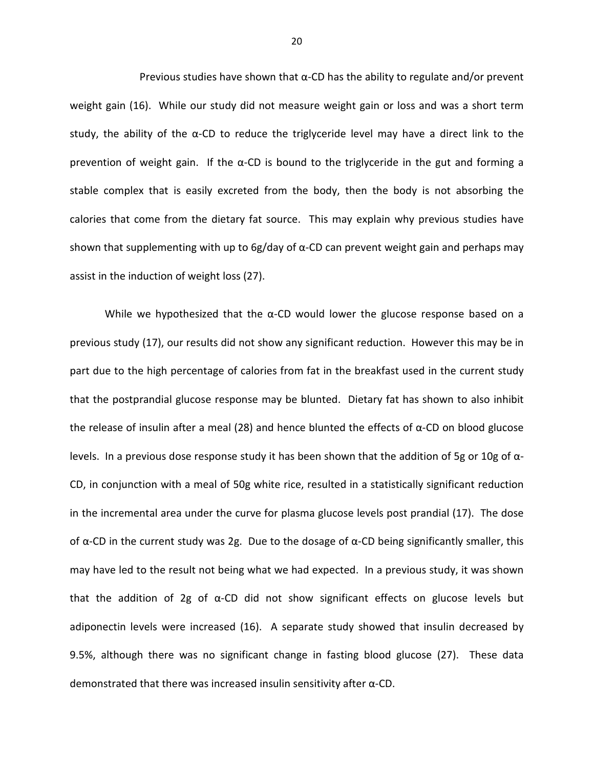Previous studies have shown that  $\alpha$ -CD has the ability to regulate and/or prevent weight gain (16). While our study did not measure weight gain or loss and was a short term study, the ability of the  $\alpha$ -CD to reduce the triglyceride level may have a direct link to the prevention of weight gain. If the  $\alpha$ -CD is bound to the triglyceride in the gut and forming a stable complex that is easily excreted from the body, then the body is not absorbing the calories that come from the dietary fat source. This may explain why previous studies have shown that supplementing with up to 6g/day of α-CD can prevent weight gain and perhaps may assist in the induction of weight loss (27).

While we hypothesized that the  $\alpha$ -CD would lower the glucose response based on a previous study (17), our results did not show any significant reduction. However this may be in part due to the high percentage of calories from fat in the breakfast used in the current study that the postprandial glucose response may be blunted. Dietary fat has shown to also inhibit the release of insulin after a meal (28) and hence blunted the effects of  $α$ -CD on blood glucose levels. In a previous dose response study it has been shown that the addition of 5g or 10g of  $\alpha$ -CD, in conjunction with a meal of 50g white rice, resulted in a statistically significant reduction in the incremental area under the curve for plasma glucose levels post prandial (17). The dose of  $\alpha$ -CD in the current study was 2g. Due to the dosage of  $\alpha$ -CD being significantly smaller, this may have led to the result not being what we had expected. In a previous study, it was shown that the addition of 2g of  $\alpha$ -CD did not show significant effects on glucose levels but adiponectin levels were increased (16). A separate study showed that insulin decreased by 9.5%, although there was no significant change in fasting blood glucose (27). These data demonstrated that there was increased insulin sensitivity after α-CD.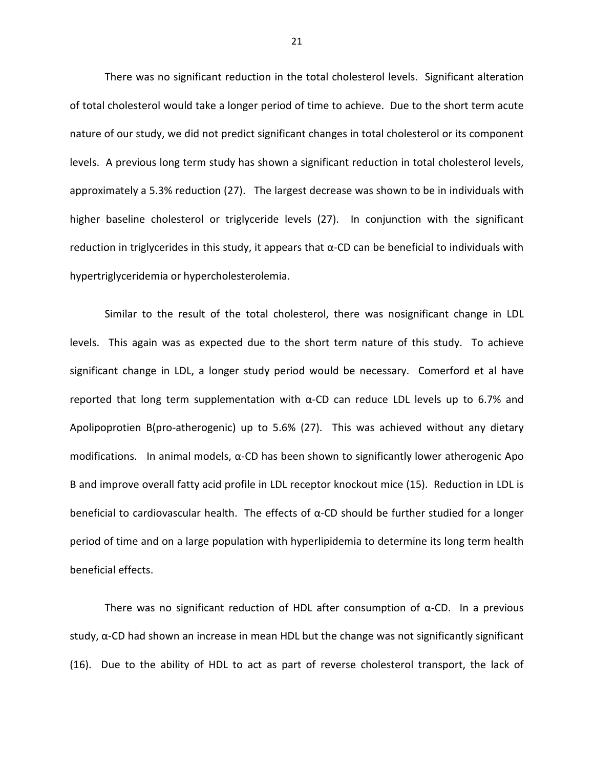There was no significant reduction in the total cholesterol levels. Significant alteration of total cholesterol would take a longer period of time to achieve. Due to the short term acute nature of our study, we did not predict significant changes in total cholesterol or its component levels. A previous long term study has shown a significant reduction in total cholesterol levels, approximately a 5.3% reduction (27). The largest decrease was shown to be in individuals with higher baseline cholesterol or triglyceride levels (27). In conjunction with the significant reduction in triglycerides in this study, it appears that  $\alpha$ -CD can be beneficial to individuals with hypertriglyceridemia or hypercholesterolemia.

Similar to the result of the total cholesterol, there was nosignificant change in LDL levels. This again was as expected due to the short term nature of this study. To achieve significant change in LDL, a longer study period would be necessary. Comerford et al have reported that long term supplementation with  $\alpha$ -CD can reduce LDL levels up to 6.7% and Apolipoprotien B(pro-atherogenic) up to 5.6% (27). This was achieved without any dietary modifications. In animal models,  $α$ -CD has been shown to significantly lower atherogenic Apo B and improve overall fatty acid profile in LDL receptor knockout mice (15). Reduction in LDL is beneficial to cardiovascular health. The effects of  $\alpha$ -CD should be further studied for a longer period of time and on a large population with hyperlipidemia to determine its long term health beneficial effects.

There was no significant reduction of HDL after consumption of  $\alpha$ -CD. In a previous study,  $\alpha$ -CD had shown an increase in mean HDL but the change was not significantly significant (16). Due to the ability of HDL to act as part of reverse cholesterol transport, the lack of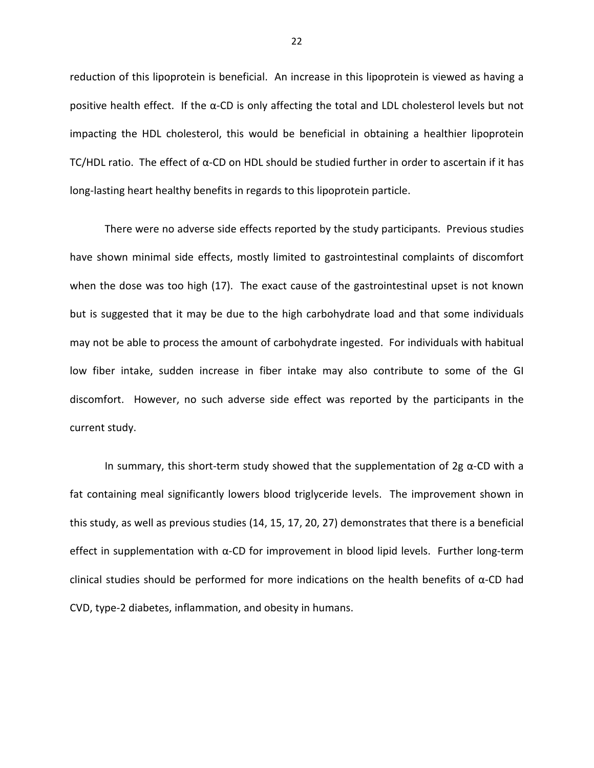reduction of this lipoprotein is beneficial. An increase in this lipoprotein is viewed as having a positive health effect. If the α-CD is only affecting the total and LDL cholesterol levels but not impacting the HDL cholesterol, this would be beneficial in obtaining a healthier lipoprotein TC/HDL ratio. The effect of α-CD on HDL should be studied further in order to ascertain if it has long-lasting heart healthy benefits in regards to this lipoprotein particle.

There were no adverse side effects reported by the study participants. Previous studies have shown minimal side effects, mostly limited to gastrointestinal complaints of discomfort when the dose was too high (17). The exact cause of the gastrointestinal upset is not known but is suggested that it may be due to the high carbohydrate load and that some individuals may not be able to process the amount of carbohydrate ingested. For individuals with habitual low fiber intake, sudden increase in fiber intake may also contribute to some of the GI discomfort. However, no such adverse side effect was reported by the participants in the current study.

In summary, this short-term study showed that the supplementation of 2g  $\alpha$ -CD with a fat containing meal significantly lowers blood triglyceride levels. The improvement shown in this study, as well as previous studies (14, 15, 17, 20, 27) demonstrates that there is a beneficial effect in supplementation with α-CD for improvement in blood lipid levels. Further long-term clinical studies should be performed for more indications on the health benefits of  $\alpha$ -CD had CVD, type-2 diabetes, inflammation, and obesity in humans.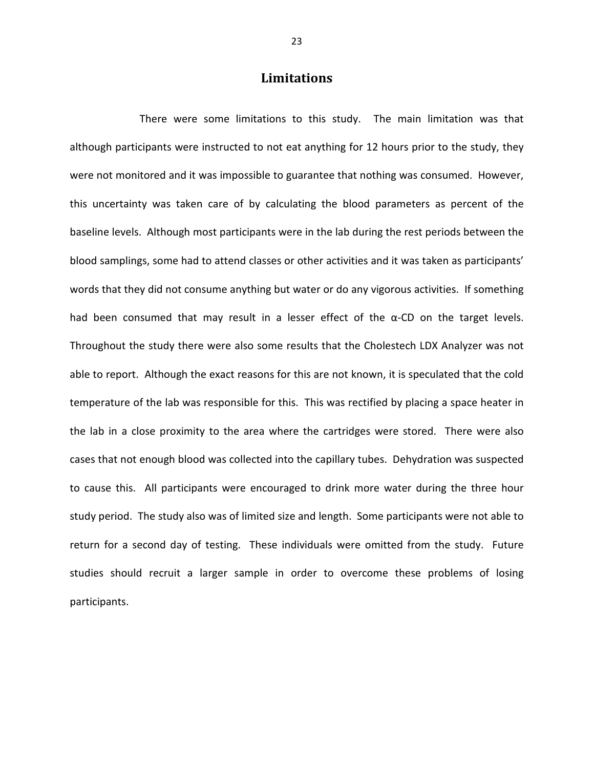### **Limitations**

 There were some limitations to this study. The main limitation was that although participants were instructed to not eat anything for 12 hours prior to the study, they were not monitored and it was impossible to guarantee that nothing was consumed. However, this uncertainty was taken care of by calculating the blood parameters as percent of the baseline levels. Although most participants were in the lab during the rest periods between the blood samplings, some had to attend classes or other activities and it was taken as participants' words that they did not consume anything but water or do any vigorous activities. If something had been consumed that may result in a lesser effect of the  $\alpha$ -CD on the target levels. Throughout the study there were also some results that the Cholestech LDX Analyzer was not able to report. Although the exact reasons for this are not known, it is speculated that the cold temperature of the lab was responsible for this. This was rectified by placing a space heater in the lab in a close proximity to the area where the cartridges were stored. There were also cases that not enough blood was collected into the capillary tubes. Dehydration was suspected to cause this. All participants were encouraged to drink more water during the three hour study period. The study also was of limited size and length. Some participants were not able to return for a second day of testing. These individuals were omitted from the study. Future studies should recruit a larger sample in order to overcome these problems of losing participants.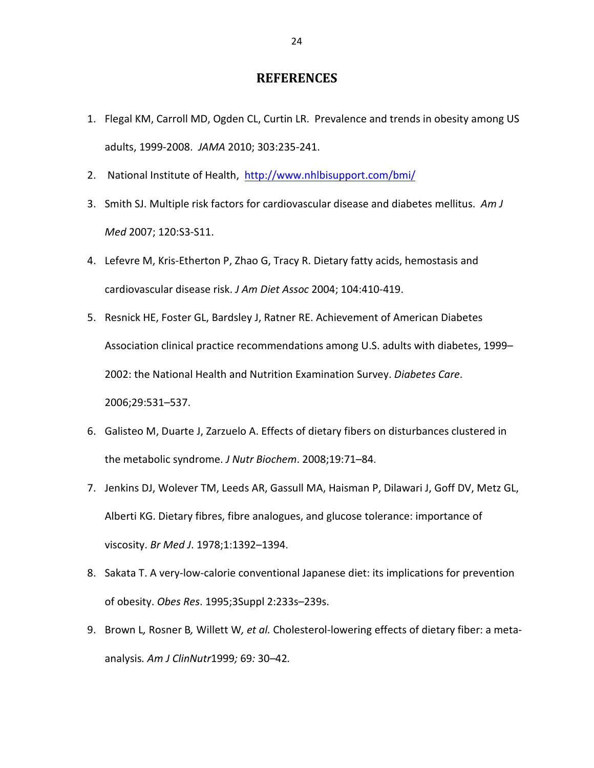#### **REFERENCES**

- 1. Flegal KM, Carroll MD, Ogden CL, Curtin LR. Prevalence and trends in obesity among US adults, 1999-2008. *JAMA* 2010; 303:235-241.
- 2. National Institute of Health, http://www.nhlbisupport.com/bmi/
- 3. Smith SJ. Multiple risk factors for cardiovascular disease and diabetes mellitus. *Am J Med* 2007; 120:S3-S11.
- 4. Lefevre M, Kris-Etherton P, Zhao G, Tracy R. Dietary fatty acids, hemostasis and cardiovascular disease risk. *J Am Diet Assoc* 2004; 104:410-419.
- 5. Resnick HE, Foster GL, Bardsley J, Ratner RE. Achievement of American Diabetes Association clinical practice recommendations among U.S. adults with diabetes, 1999– 2002: the National Health and Nutrition Examination Survey. *Diabetes Care*. 2006;29:531–537.
- 6. Galisteo M, Duarte J, Zarzuelo A. Effects of dietary fibers on disturbances clustered in the metabolic syndrome. *J Nutr Biochem*. 2008;19:71–84.
- 7. Jenkins DJ, Wolever TM, Leeds AR, Gassull MA, Haisman P, Dilawari J, Goff DV, Metz GL, Alberti KG. Dietary fibres, fibre analogues, and glucose tolerance: importance of viscosity. *Br Med J*. 1978;1:1392–1394.
- 8. Sakata T. A very-low-calorie conventional Japanese diet: its implications for prevention of obesity. *Obes Res*. 1995;3Suppl 2:233s–239s.
- 9. Brown L*,* Rosner B*,* Willett W*, et al.* Cholesterol-lowering effects of dietary fiber: a metaanalysis*. Am J ClinNutr*1999*;* 69*:* 30*–*42*.*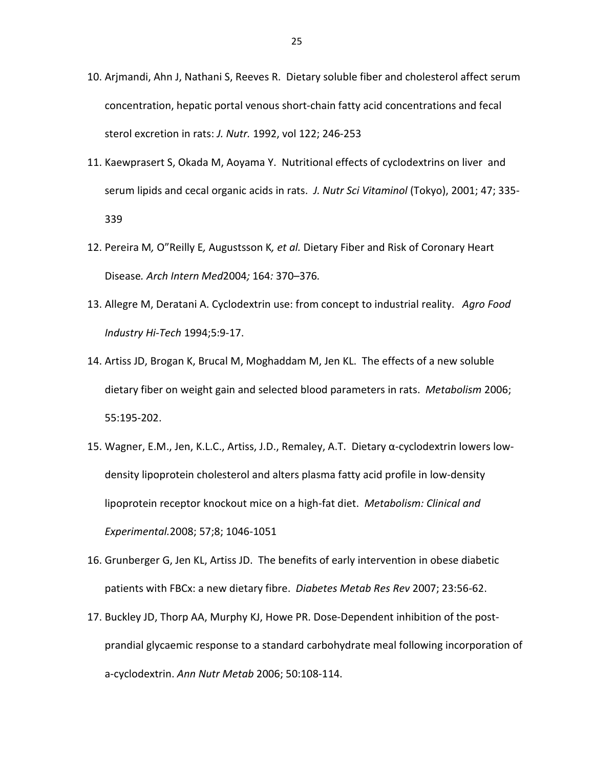- 10. Arjmandi, Ahn J, Nathani S, Reeves R. Dietary soluble fiber and cholesterol affect serum concentration, hepatic portal venous short-chain fatty acid concentrations and fecal sterol excretion in rats: *J. Nutr.* 1992, vol 122; 246-253
- 11. Kaewprasert S, Okada M, Aoyama Y. Nutritional effects of cyclodextrins on liver and serum lipids and cecal organic acids in rats. *J. Nutr Sci Vitaminol* (Tokyo), 2001; 47; 335- 339
- 12. Pereira M*,* O"Reilly E*,* Augustsson K*, et al.* Dietary Fiber and Risk of Coronary Heart Disease*. Arch Intern Med*2004*;* 164*:* 370*–*376*.*
- 13. Allegre M, Deratani A. Cyclodextrin use: from concept to industrial reality. *Agro Food Industry Hi-Tech* 1994;5:9-17.
- 14. Artiss JD, Brogan K, Brucal M, Moghaddam M, Jen KL. The effects of a new soluble dietary fiber on weight gain and selected blood parameters in rats. *Metabolism* 2006; 55:195-202.
- 15. Wagner, E.M., Jen, K.L.C., Artiss, J.D., Remaley, A.T. Dietary α-cyclodextrin lowers lowdensity lipoprotein cholesterol and alters plasma fatty acid profile in low-density lipoprotein receptor knockout mice on a high-fat diet. *Metabolism: Clinical and Experimental.*2008; 57;8; 1046-1051
- 16. Grunberger G, Jen KL, Artiss JD. The benefits of early intervention in obese diabetic patients with FBCx: a new dietary fibre. *Diabetes Metab Res Rev* 2007; 23:56-62.
- 17. Buckley JD, Thorp AA, Murphy KJ, Howe PR. Dose-Dependent inhibition of the postprandial glycaemic response to a standard carbohydrate meal following incorporation of a-cyclodextrin. *Ann Nutr Metab* 2006; 50:108-114.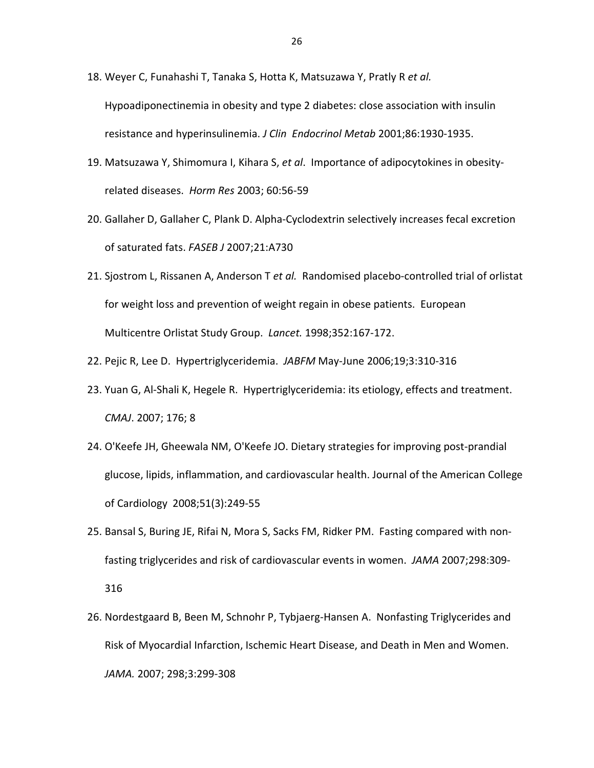- 18. Weyer C, Funahashi T, Tanaka S, Hotta K, Matsuzawa Y, Pratly R *et al.* Hypoadiponectinemia in obesity and type 2 diabetes: close association with insulin resistance and hyperinsulinemia. *J Clin Endocrinol Metab* 2001;86:1930-1935.
- 19. Matsuzawa Y, Shimomura I, Kihara S, *et al*. Importance of adipocytokines in obesityrelated diseases. *Horm Res* 2003; 60:56-59
- 20. Gallaher D, Gallaher C, Plank D. Alpha-Cyclodextrin selectively increases fecal excretion of saturated fats. *FASEB J* 2007;21:A730
- 21. Sjostrom L, Rissanen A, Anderson T *et al.* Randomised placebo-controlled trial of orlistat for weight loss and prevention of weight regain in obese patients. European Multicentre Orlistat Study Group. *Lancet.* 1998;352:167-172.
- 22. Pejic R, Lee D. Hypertriglyceridemia. *JABFM* May-June 2006;19;3:310-316
- 23. Yuan G, Al-Shali K, Hegele R. Hypertriglyceridemia: its etiology, effects and treatment. *CMAJ*. 2007; 176; 8
- 24. O'Keefe JH, Gheewala NM, O'Keefe JO. Dietary strategies for improving post-prandial glucose, lipids, inflammation, and cardiovascular health. Journal of the American College of Cardiology 2008;51(3):249-55
- 25. Bansal S, Buring JE, Rifai N, Mora S, Sacks FM, Ridker PM. Fasting compared with nonfasting triglycerides and risk of cardiovascular events in women. *JAMA* 2007;298:309- 316
- 26. Nordestgaard B, Been M, Schnohr P, Tybjaerg-Hansen A. Nonfasting Triglycerides and Risk of Myocardial Infarction, Ischemic Heart Disease, and Death in Men and Women. *JAMA.* 2007; 298;3:299-308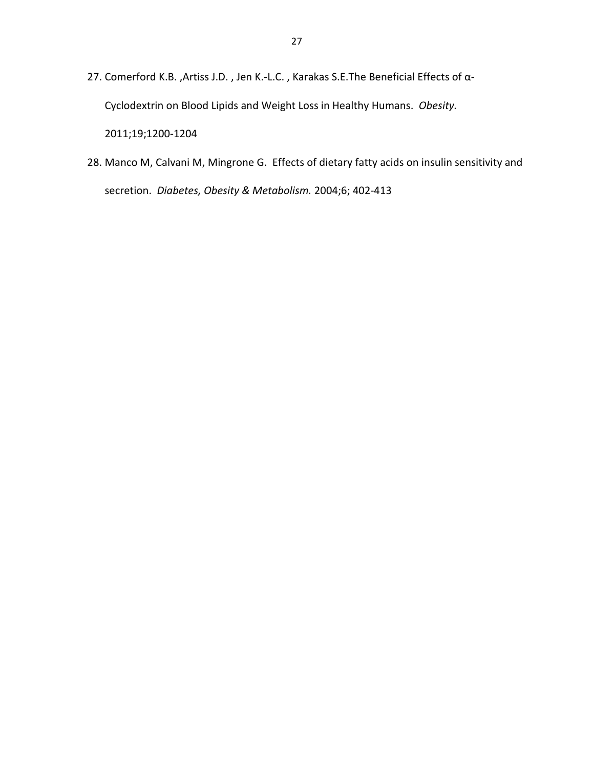- 27. Comerford K.B. ,Artiss J.D. , Jen K.-L.C. , Karakas S.E.The Beneficial Effects of α-Cyclodextrin on Blood Lipids and Weight Loss in Healthy Humans. *Obesity.*  2011;19;1200-1204
- 28. Manco M, Calvani M, Mingrone G. Effects of dietary fatty acids on insulin sensitivity and secretion. *Diabetes, Obesity & Metabolism.* 2004;6; 402-413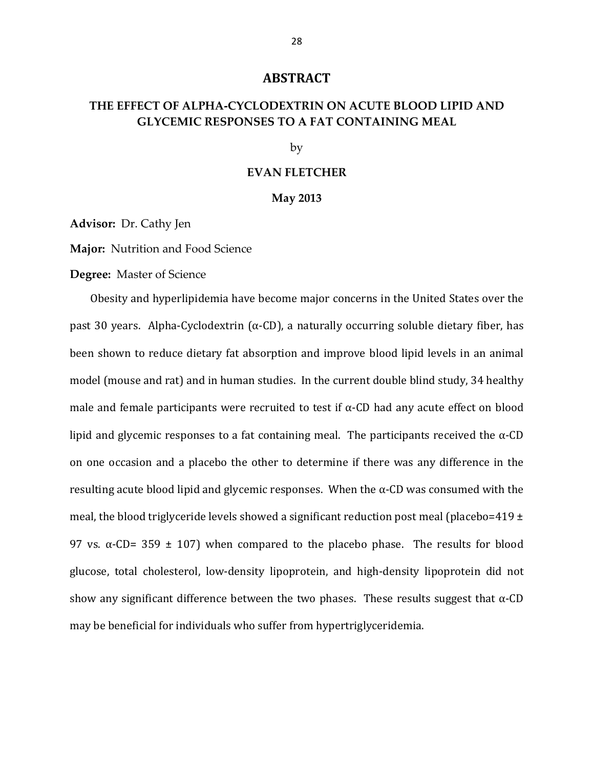#### **ABSTRACT**

#### **THE EFFECT OF ALPHA-CYCLODEXTRIN ON ACUTE BLOOD LIPID AND GLYCEMIC RESPONSES TO A FAT CONTAINING MEAL**

by

#### **EVAN FLETCHER**

#### **May 2013**

**Advisor:** Dr. Cathy Jen

**Major:** Nutrition and Food Science

**Degree:** Master of Science

 Obesity and hyperlipidemia have become major concerns in the United States over the past 30 years. Alpha-Cyclodextrin ( $α$ -CD), a naturally occurring soluble dietary fiber, has been shown to reduce dietary fat absorption and improve blood lipid levels in an animal model (mouse and rat) and in human studies. In the current double blind study, 34 healthy male and female participants were recruited to test if  $\alpha$ -CD had any acute effect on blood lipid and glycemic responses to a fat containing meal. The participants received the  $\alpha$ -CD on one occasion and a placebo the other to determine if there was any difference in the resulting acute blood lipid and glycemic responses. When the  $\alpha$ -CD was consumed with the meal, the blood triglyceride levels showed a significant reduction post meal (placebo=419  $\pm$ 97 vs. α-CD= 359  $\pm$  107) when compared to the placebo phase. The results for blood glucose, total cholesterol, low-density lipoprotein, and high-density lipoprotein did not show any significant difference between the two phases. These results suggest that  $\alpha$ -CD may be beneficial for individuals who suffer from hypertriglyceridemia.